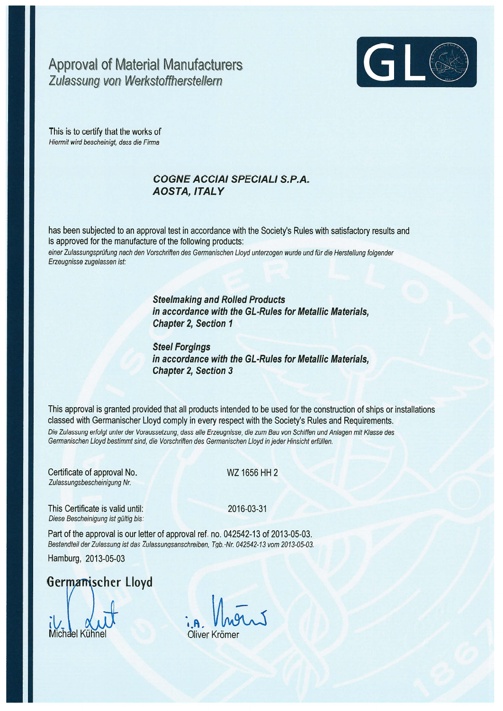## **Approval of Material Manufacturers** Zulassung von Werkstoffherstellern



This is to certify that the works of Hiermit wird bescheinigt, dass die Firma

## **COGNE ACCIAI SPECIALI S.P.A. AOSTA, ITALY**

has been subjected to an approval test in accordance with the Society's Rules with satisfactory results and is approved for the manufacture of the following products: einer Zulassungsprüfung nach den Vorschriften des Germanischen Lloyd unterzogen wurde und für die Herstellung folgender Erzeugnisse zugelassen ist:

> **Steelmaking and Rolled Products** in accordance with the GL-Rules for Metallic Materials, **Chapter 2, Section 1**

> **Steel Forgings** in accordance with the GL-Rules for Metallic Materials. **Chapter 2, Section 3**

This approval is granted provided that all products intended to be used for the construction of ships or installations classed with Germanischer Lloyd comply in every respect with the Society's Rules and Requirements. Die Zulassung erfolgt unter der Voraussetzung, dass alle Erzeugnisse, die zum Bau von Schiffen und Anlagen mit Klasse des Germanischen Lloyd bestimmt sind, die Vorschriften des Germanischen Lloyd in jeder Hinsicht erfüllen.

Certificate of approval No. Zulassungsbescheinigung Nr.

WZ 1656 HH 2

This Certificate is valid until: Diese Bescheinigung ist gültig bis:

2016-03-31

Part of the approval is our letter of approval ref. no. 042542-13 of 2013-05-03. Bestandteil der Zulassung ist das Zulassungsanschreiben, Tgb.-Nr. 042542-13 vom 2013-05-03.

Hamburg, 2013-05-03

Germanischer Lloyd

Michael Kühne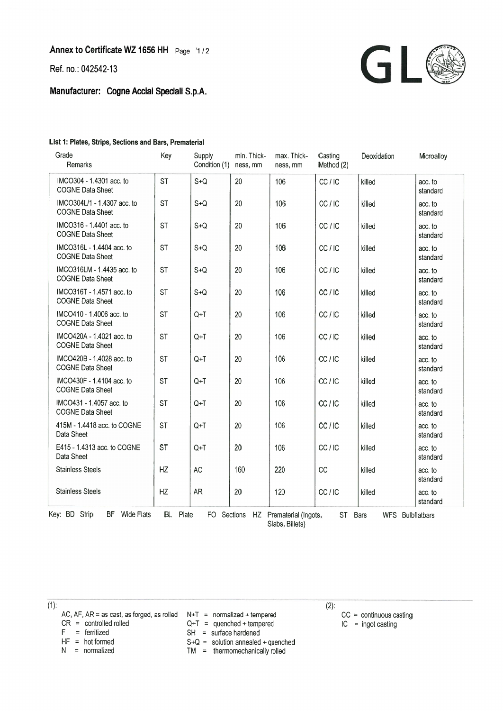Ref. no.: 042542-13

Manufacturer: Cogne Acciai Speciali S.p.A.



## List 1: Plates, Strips, Sections and Bars, Prematerial

| Grade<br>Remarks                                                                                                 | Key       | Supply<br>Condition (1) | min. Thick-<br>ness, mm | max. Thick-<br>ness, mm | Casting<br>Method (2) | Deoxidation | Microalloy          |  |
|------------------------------------------------------------------------------------------------------------------|-----------|-------------------------|-------------------------|-------------------------|-----------------------|-------------|---------------------|--|
| IMCO304 - 1.4301 acc. to<br><b>COGNE Data Sheet</b>                                                              | <b>ST</b> | $S + Q$                 | 20                      | 106                     | CC/IC                 | killed      | acc. to<br>standard |  |
| IMCO304L/1 - 1.4307 acc. to<br><b>COGNE Data Sheet</b>                                                           | <b>ST</b> | $S + Q$                 | 20                      | 106                     | CC/IC                 | killed      | acc. to<br>standard |  |
| IMCO316 - 1.4401 acc. to<br><b>COGNE Data Sheet</b>                                                              | <b>ST</b> | $S + Q$                 | 20                      | 106                     | CC/IC                 | killed      | acc. to<br>standard |  |
| IMCO316L - 1.4404 acc. to<br><b>COGNE Data Sheet</b>                                                             | <b>ST</b> | $S + Q$                 | 20                      | 106                     | CC/IC                 | killed      | acc. to<br>standard |  |
| IMCO316LM - 1.4435 acc. to<br><b>COGNE Data Sheet</b>                                                            | <b>ST</b> | $S + Q$                 | 20                      | 106                     | CC/IC                 | killed      | acc. to<br>standard |  |
| IMCO316T - 1.4571 acc. to<br><b>COGNE Data Sheet</b>                                                             | <b>ST</b> | $S + Q$                 | 20                      | 106                     | CC/IC                 | killed      | acc. to<br>standard |  |
| IMCO410 - 1.4006 acc. to<br><b>COGNE Data Sheet</b>                                                              | <b>ST</b> | $Q+T$                   | 20                      | 106                     | CC/IC                 | killed      | acc. to<br>standard |  |
| IMCO420A - 1.4021 acc. to<br><b>COGNE Data Sheet</b>                                                             | <b>ST</b> | $Q+T$                   | 20                      | 106                     | CC/IC                 | killed      | acc. to<br>standard |  |
| IMCO420B - 1.4028 acc. to<br><b>COGNE Data Sheet</b>                                                             | <b>ST</b> | $Q+T$                   | 20                      | 106                     | CC/IC                 | killed      | acc. to<br>standard |  |
| IMCO430F - 1.4104 acc. to<br><b>COGNE Data Sheet</b>                                                             | <b>ST</b> | $Q+T$                   | 20                      | 106                     | CC/IC                 | killed      | acc. to<br>standard |  |
| IMCO431 - 1.4057 acc. to<br><b>COGNE Data Sheet</b>                                                              | <b>ST</b> | $Q+T$                   | 20                      | 106                     | CC/IC                 | killed      | acc. to<br>standard |  |
| 415M - 1.4418 acc. to COGNE<br>Data Sheet                                                                        | <b>ST</b> | $Q+T$                   | 20                      | 106                     | CC/IC                 | killed      | acc. to<br>standard |  |
| E415 - 1.4313 acc. to COGNE<br>Data Sheet                                                                        | <b>ST</b> | $Q+T$                   | 20                      | 106                     | CC/IC                 | killed      | acc. to<br>standard |  |
| <b>Stainless Steels</b>                                                                                          | HZ        | <b>AC</b>               | 160                     | 220                     | CC                    | killed      | acc. to<br>standard |  |
| <b>Stainless Steels</b>                                                                                          | HZ        | AR                      | 20                      | 120                     | CC/IC                 | killed      | acc. to<br>standard |  |
| Key: BD Strip<br>BF Wide Flats<br>BL Plate<br>FO Sections HZ Prematerial (Ingots,<br>ST Bars<br>WFS Bulbflatbars |           |                         |                         |                         |                       |             |                     |  |

Slabs, Billets)

 $(2)$ :

 $\overline{(1)}$ :

- AC, AF, AR = as cast, as forged, as rolled  $N+T =$  normalized + tempered CR = controlled rolled  $Q+T =$  quenched + tempered
- $CR = controlled rolled$ <br>  $F = ferritized$
- 
- 
- 
- 
- $SH = \text{surface}$  hardened
- 
- $HF = hot formed$ <br>  $N = normalized$ <br>  $TM = thermomechanically rolled$ 
	- $TM =$  thermomechanically rolled

 $CC =$  continuous casting

 $IC = ingot casting$